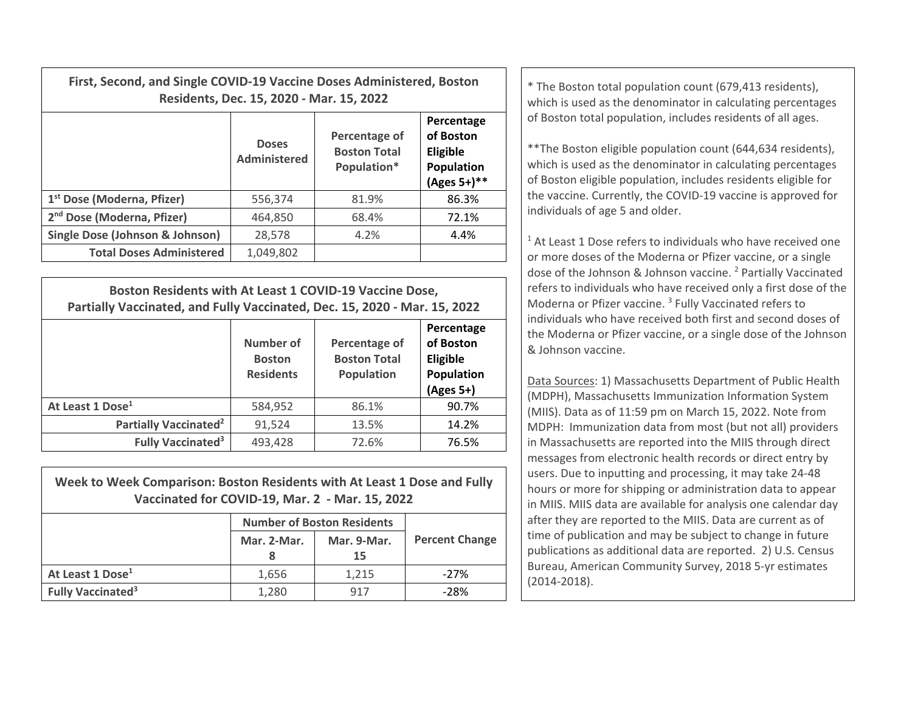| First, Second, and Single COVID-19 Vaccine Doses Administered, Boston | Residents, Dec. 15, 2020 - Mar. 15, 2022 | * The Boston total population count (679,413 residents),<br>which is used as the denominator in calculating percentages |                                                                            |                                                                                                                                                                                                                                                              |  |
|-----------------------------------------------------------------------|------------------------------------------|-------------------------------------------------------------------------------------------------------------------------|----------------------------------------------------------------------------|--------------------------------------------------------------------------------------------------------------------------------------------------------------------------------------------------------------------------------------------------------------|--|
|                                                                       | <b>Doses</b><br>Administered             | Percentage of<br><b>Boston Total</b><br>Population*                                                                     | Percentage<br>of Boston<br><b>Eligible</b><br>Population<br>$(Ages 5+)$ ** | of Boston total population, includes residents of all ages.<br>** The Boston eligible population count (644,634 residents),<br>which is used as the denominator in calculating percentages<br>of Boston eligible population, includes residents eligible for |  |
| 1 <sup>st</sup> Dose (Moderna, Pfizer)                                | 556,374                                  | 81.9%                                                                                                                   | 86.3%                                                                      | the vaccine. Currently, the COVID-19 vaccine is approved for<br>individuals of age 5 and older.<br><sup>1</sup> At Least 1 Dose refers to individuals who have received on                                                                                   |  |
| 2 <sup>nd</sup> Dose (Moderna, Pfizer)                                | 464,850                                  | 68.4%                                                                                                                   | 72.1%                                                                      |                                                                                                                                                                                                                                                              |  |
| Single Dose (Johnson & Johnson)                                       | 28,578                                   | 4.2%                                                                                                                    | 4.4%                                                                       |                                                                                                                                                                                                                                                              |  |
| <b>Total Doses Administered</b>                                       | 1,049,802                                |                                                                                                                         |                                                                            | or more doses of the Moderna or Pfizer vaccine, or a single                                                                                                                                                                                                  |  |

| Boston Residents with At Least 1 COVID-19 Vaccine Dose,<br>Partially Vaccinated, and Fully Vaccinated, Dec. 15, 2020 - Mar. 15, 2022 |                                                |                                                           |                                                                  |  |  |  |
|--------------------------------------------------------------------------------------------------------------------------------------|------------------------------------------------|-----------------------------------------------------------|------------------------------------------------------------------|--|--|--|
|                                                                                                                                      | Number of<br><b>Boston</b><br><b>Residents</b> | Percentage of<br><b>Boston Total</b><br><b>Population</b> | Percentage<br>of Boston<br>Eligible<br>Population<br>$(Ages 5+)$ |  |  |  |
| At Least 1 Dose <sup>1</sup>                                                                                                         | 584,952                                        | 86.1%                                                     | 90.7%                                                            |  |  |  |
| Partially Vaccinated <sup>2</sup>                                                                                                    | 91,524                                         | 13.5%                                                     | 14.2%                                                            |  |  |  |
| <b>Fully Vaccinated<sup>3</sup></b>                                                                                                  | 493,428                                        | 72.6%                                                     | 76.5%                                                            |  |  |  |

| Week to Week Comparison: Boston Residents with At Least 1 Dose and Fully<br>Vaccinated for COVID-19, Mar. 2 - Mar. 15, 2022 |                                   |             |                       |  |  |  |  |
|-----------------------------------------------------------------------------------------------------------------------------|-----------------------------------|-------------|-----------------------|--|--|--|--|
|                                                                                                                             | <b>Number of Boston Residents</b> |             |                       |  |  |  |  |
|                                                                                                                             | Mar. 2-Mar.                       | Mar. 9-Mar. | <b>Percent Change</b> |  |  |  |  |
|                                                                                                                             |                                   | 15          |                       |  |  |  |  |
| At Least 1 Dose <sup>1</sup>                                                                                                | 1,656                             | 1,215       | $-27%$                |  |  |  |  |
| <b>Fully Vaccinated<sup>3</sup></b>                                                                                         | 1,280                             | 917         | $-28%$                |  |  |  |  |

 $1$  At Least 1 Dose refers to individuals who have received one or more doses of the Moderna or Pfizer vaccine, or <sup>a</sup> single dose of the Johnson & Johnson vaccine. <sup>2</sup> Partially Vaccinated refers to individuals who have received only <sup>a</sup> first dose of the Moderna or Pfizer vaccine. <sup>3</sup> Fully Vaccinated refers to individuals who have received both first and second doses of the Moderna or Pfizer vaccine, or <sup>a</sup> single dose of the Johnson & Johnson vaccine.

Data Sources: 1) Massachusetts Department of Public Health (MDPH), Massachusetts Immunization Information System (MIIS). Data as of 11:59 pm on March 15, 2022. Note from MDPH: Immunization data from most (but not all) providers in Massachusetts are reported into the MIIS through direct messages from electronic health records or direct entry by users. Due to inputting and processing, it may take 24‐48 hours or more for shipping or administration data to appear in MIIS. MIIS data are available for analysis one calendar day after they are reported to the MIIS. Data are current as of time of publication and may be subject to change in future publications as additional data are reported. 2) U.S. Census Bureau, American Community Survey, 2018 5‐yr estimates (2014‐2018).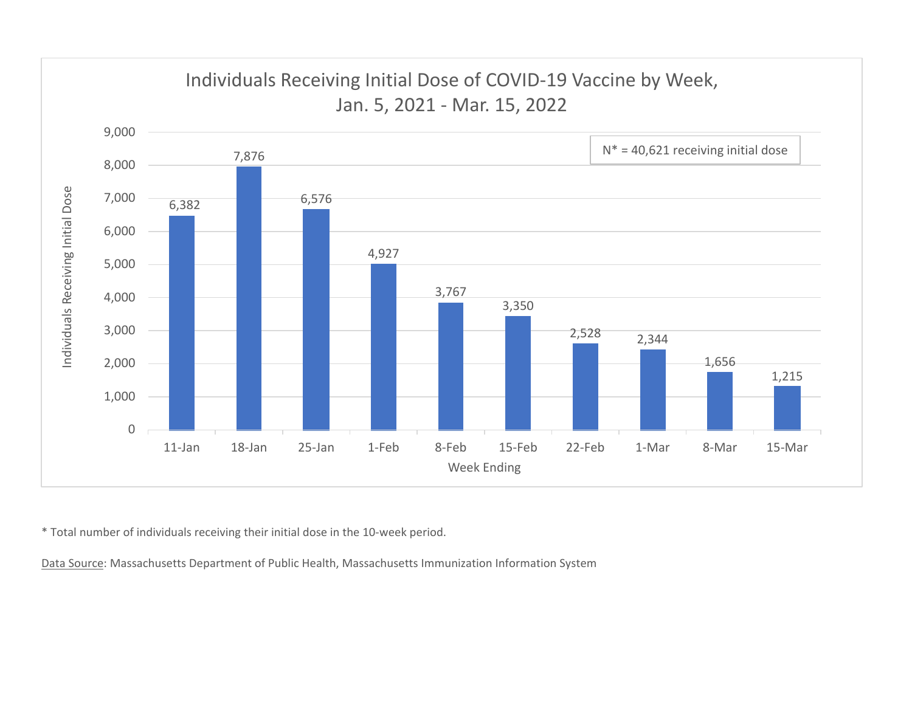

\* Total number of individuals receiving their initial dose in the 10‐week period.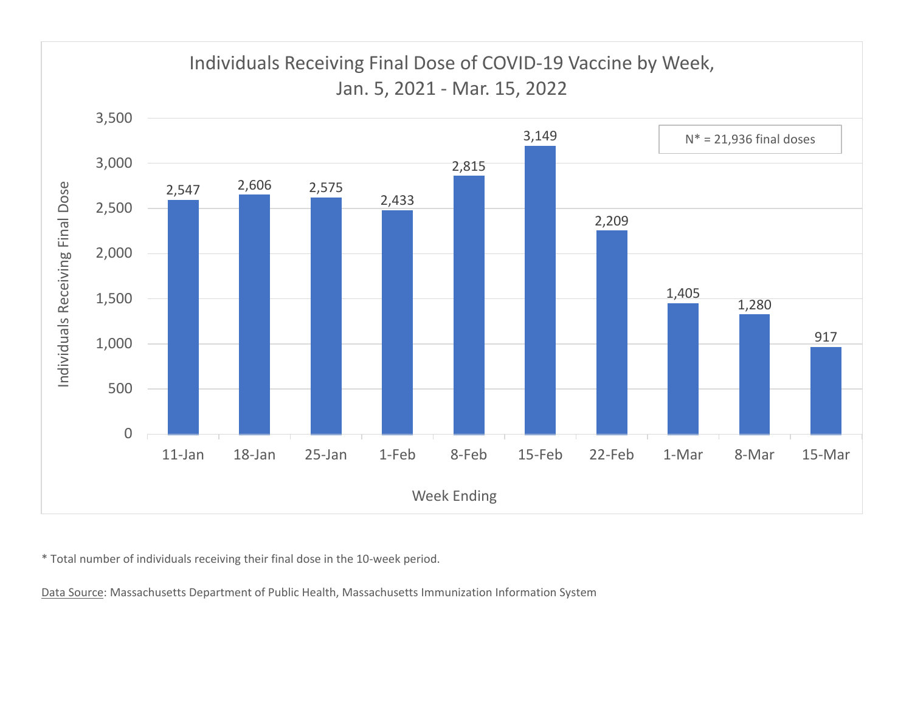

\* Total number of individuals receiving their final dose in the 10‐week period.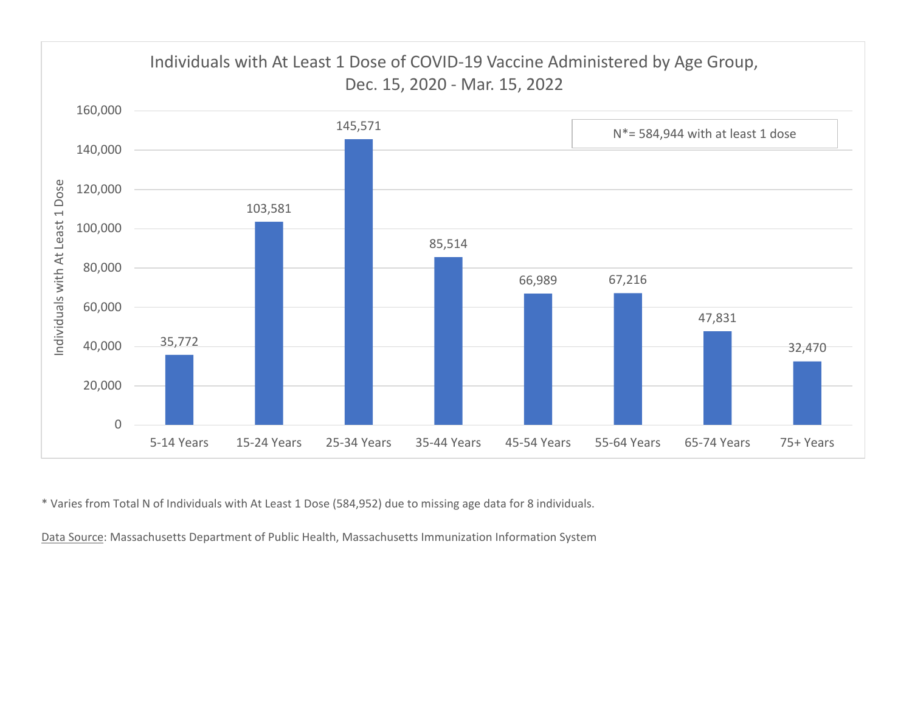

\* Varies from Total N of Individuals with At Least 1 Dose (584,952) due to missing age data for 8 individuals.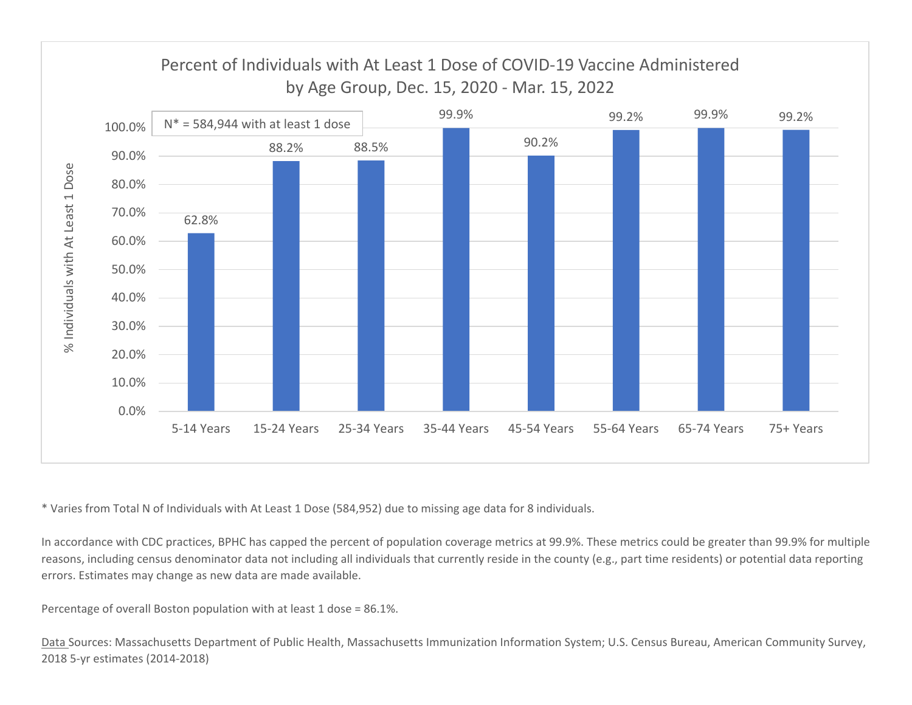

\* Varies from Total N of Individuals with At Least 1 Dose (584,952) due to missing age data for 8 individuals.

In accordance with CDC practices, BPHC has capped the percent of population coverage metrics at 99.9%. These metrics could be greater than 99.9% for multiple reasons, including census denominator data not including all individuals that currently reside in the county (e.g., part time residents) or potential data reporting errors. Estimates may change as new data are made available.

Percentage of overall Boston population with at least 1 dose <sup>=</sup> 86.1%.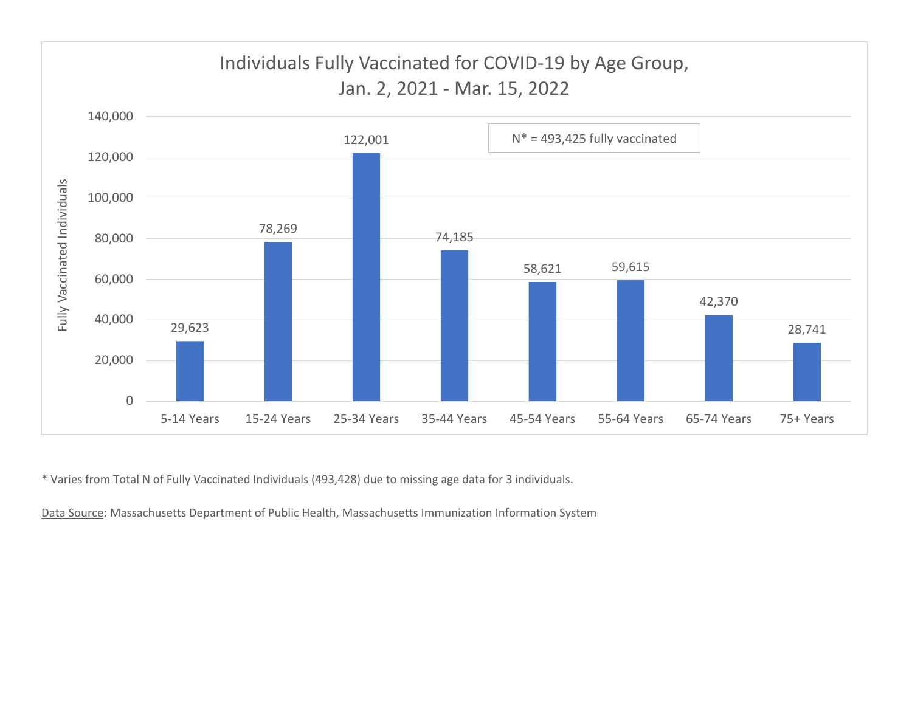

\* Varies from Total N of Fully Vaccinated Individuals (493,428) due to missing age data for 3 individuals.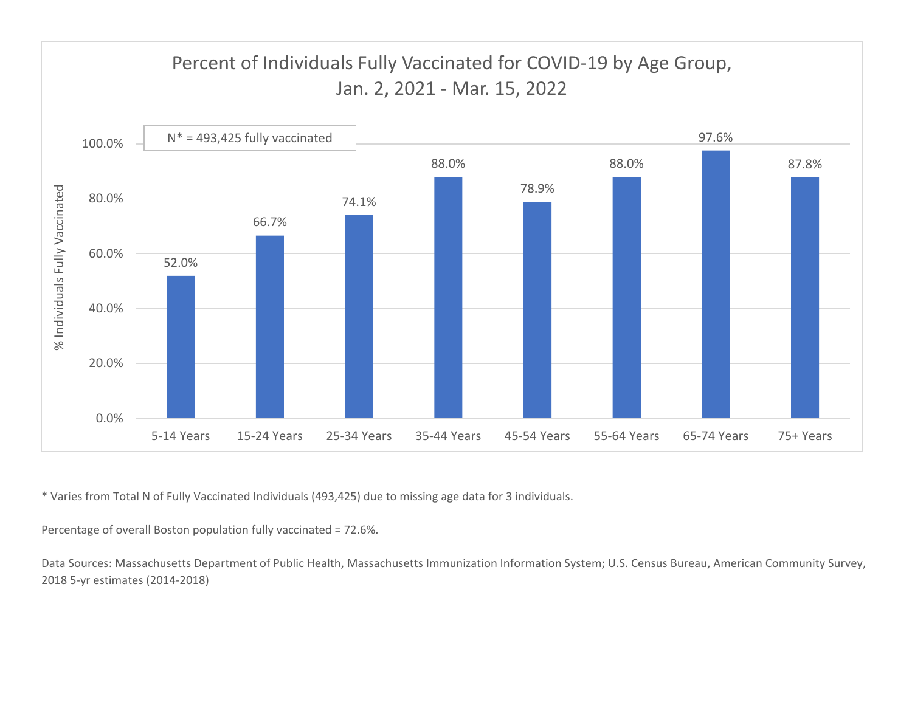

\* Varies from Total N of Fully Vaccinated Individuals (493,425) due to missing age data for 3 individuals.

Percentage of overall Boston population fully vaccinated <sup>=</sup> 72.6%.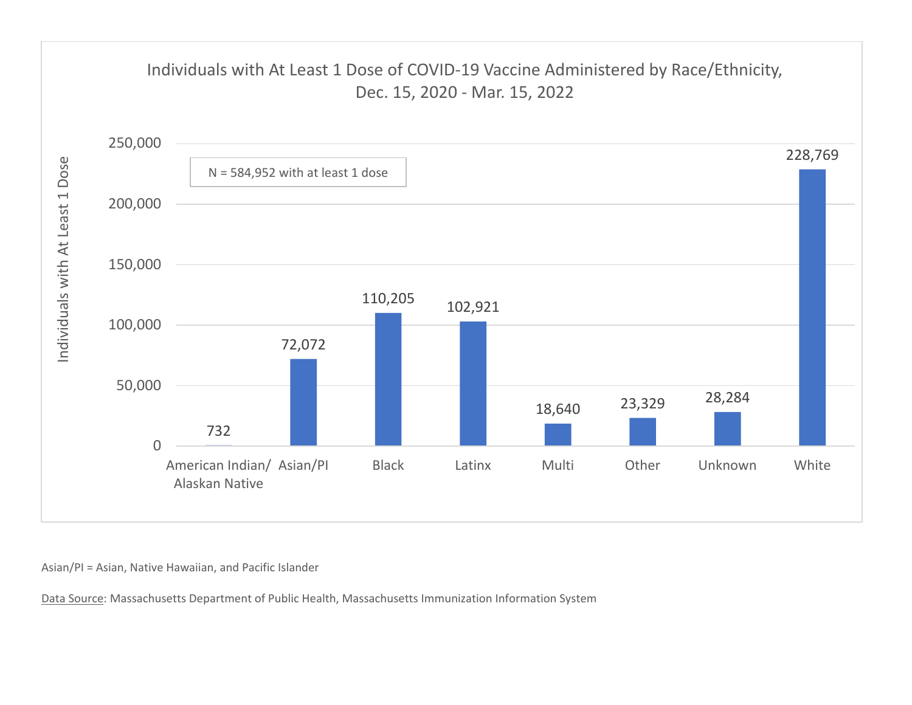

Asian/PI <sup>=</sup> Asian, Native Hawaiian, and Pacific Islander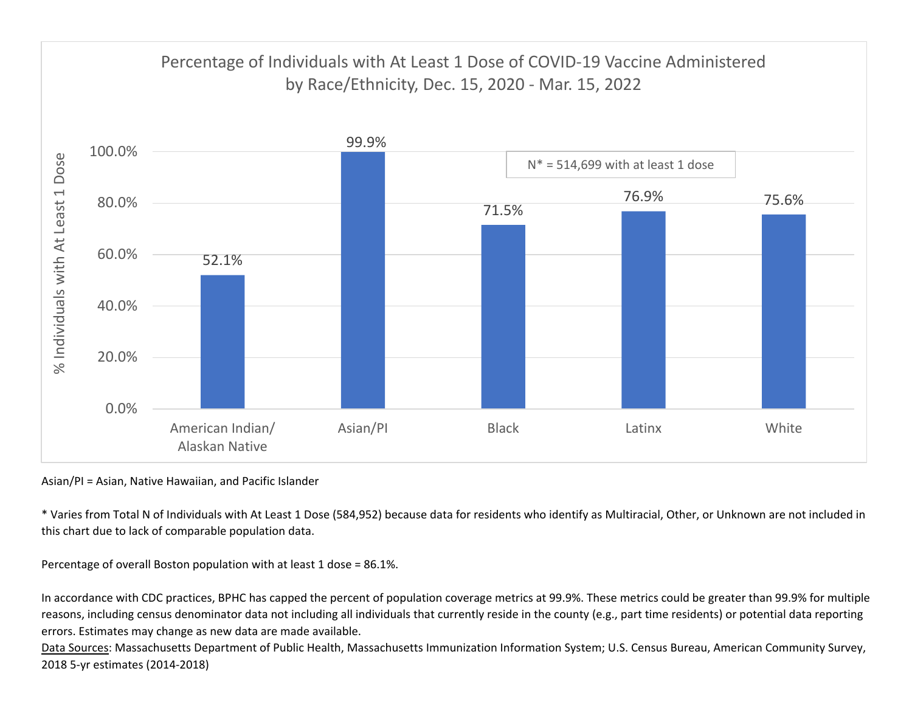

Asian/PI <sup>=</sup> Asian, Native Hawaiian, and Pacific Islander

\* Varies from Total N of Individuals with At Least 1 Dose (584,952) because data for residents who identify as Multiracial, Other, or Unknown are not included in this chart due to lack of comparable population data.

Percentage of overall Boston population with at least 1 dose <sup>=</sup> 86.1%.

In accordance with CDC practices, BPHC has capped the percent of population coverage metrics at 99.9%. These metrics could be greater than 99.9% for multiple reasons, including census denominator data not including all individuals that currently reside in the county (e.g., part time residents) or potential data reporting errors. Estimates may change as new data are made available.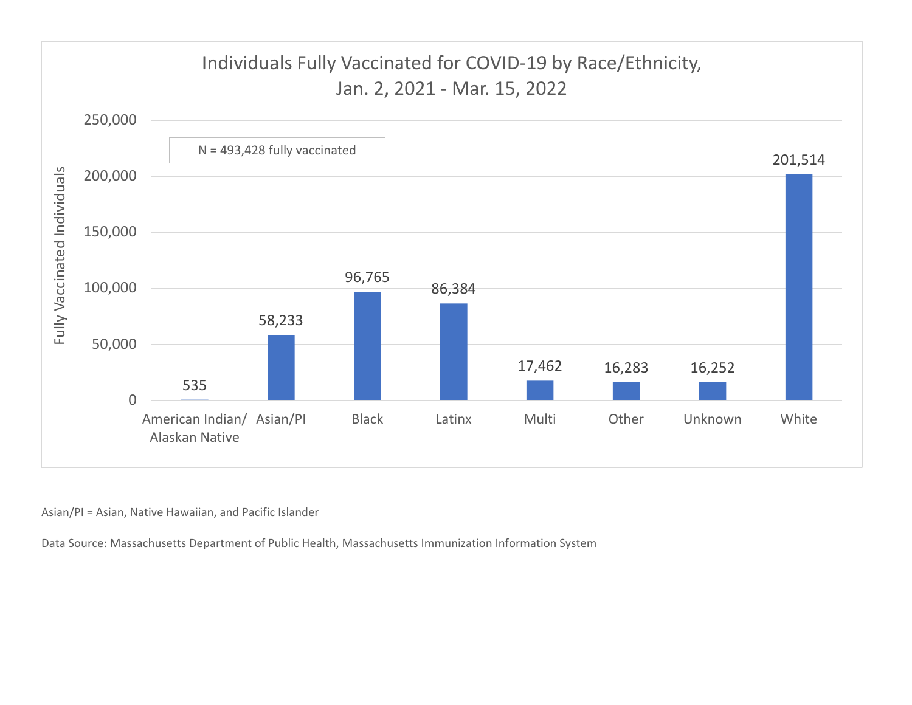

Asian/PI <sup>=</sup> Asian, Native Hawaiian, and Pacific Islander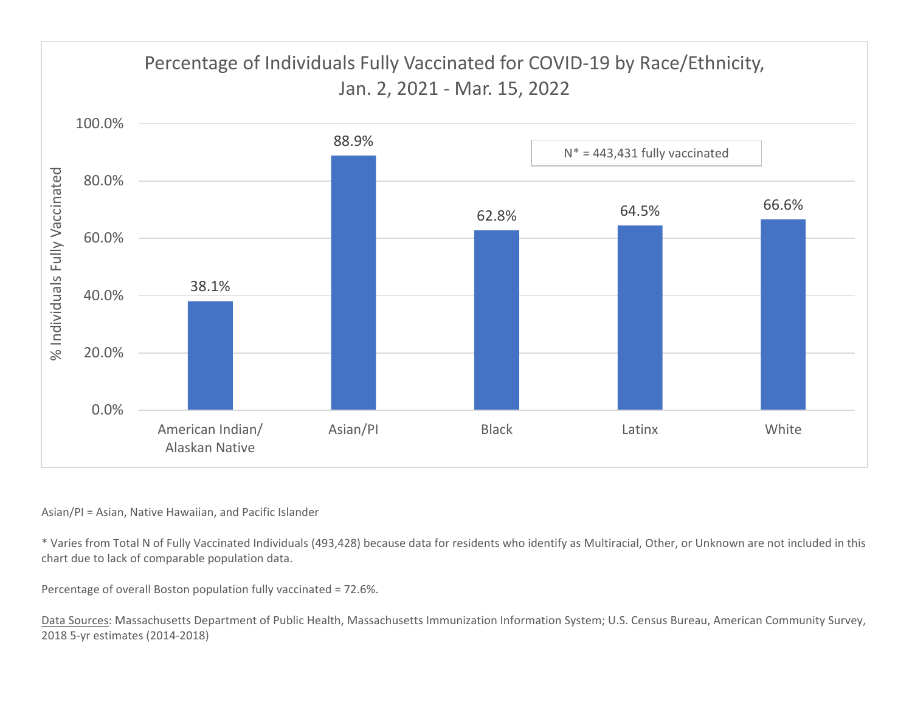

## Asian/PI <sup>=</sup> Asian, Native Hawaiian, and Pacific Islander

\* Varies from Total N of Fully Vaccinated Individuals (493,428) because data for residents who identify as Multiracial, Other, or Unknown are not included in this chart due to lack of comparable population data.

Percentage of overall Boston population fully vaccinated <sup>=</sup> 72.6%.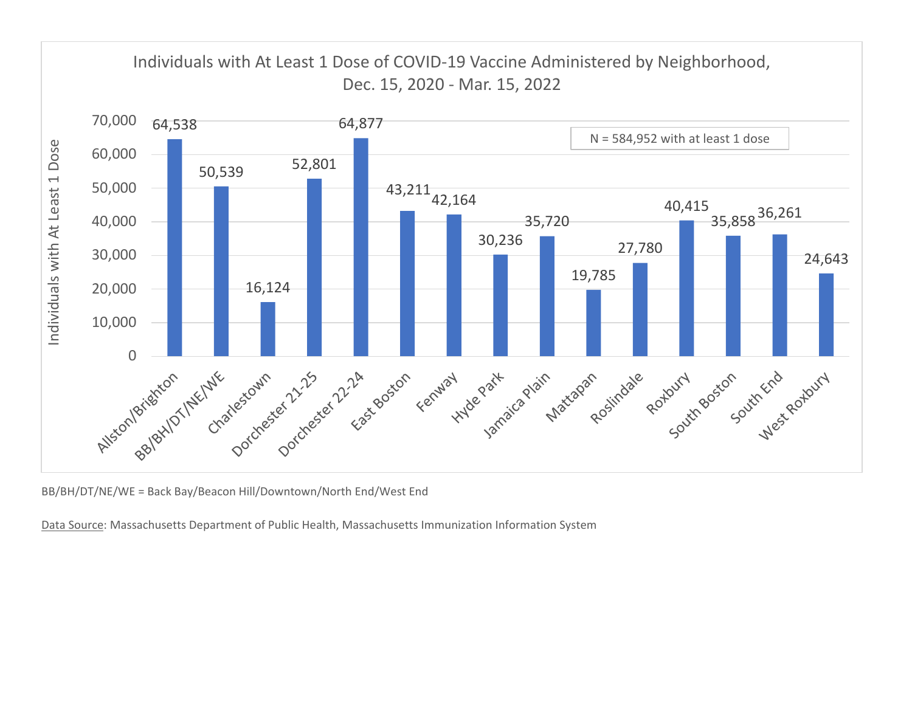

BB/BH/DT/NE/WE <sup>=</sup> Back Bay/Beacon Hill/Downtown/North End/West End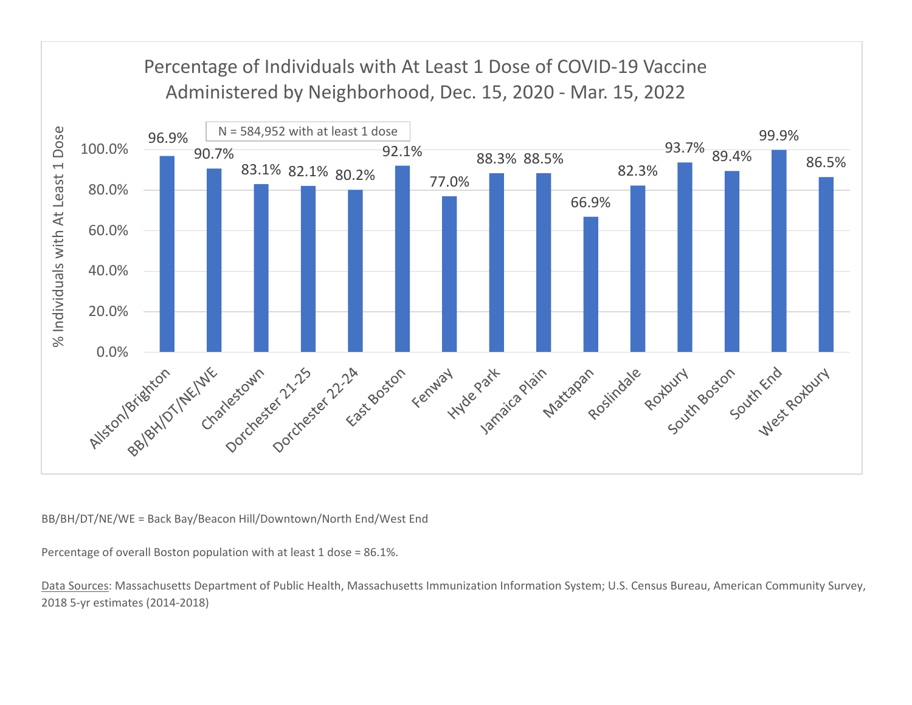

BB/BH/DT/NE/WE <sup>=</sup> Back Bay/Beacon Hill/Downtown/North End/West End

Percentage of overall Boston population with at least 1 dose <sup>=</sup> 86.1%.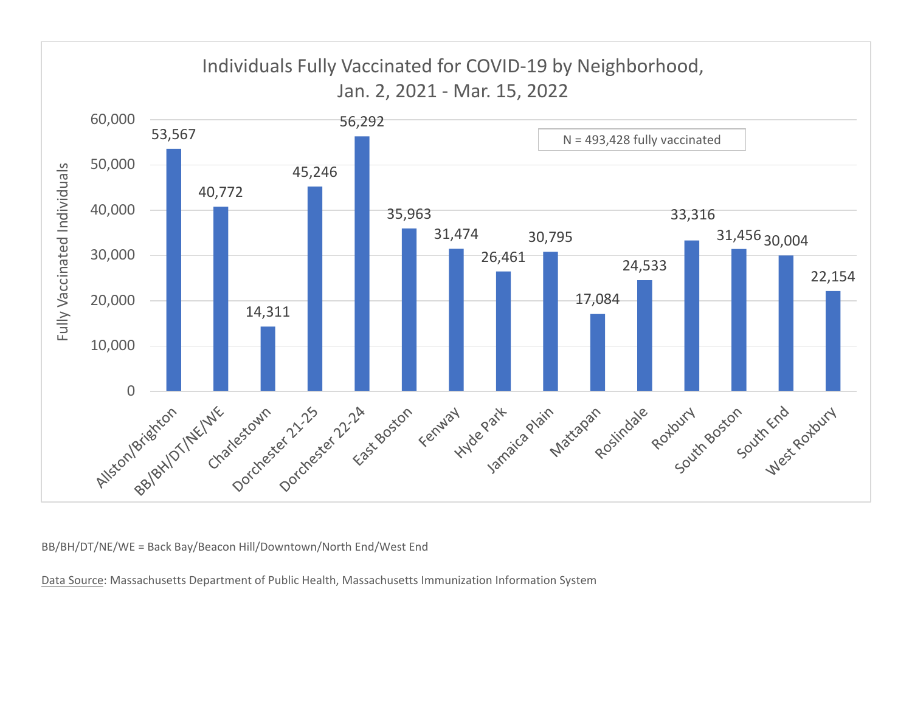![](_page_13_Figure_0.jpeg)

BB/BH/DT/NE/WE <sup>=</sup> Back Bay/Beacon Hill/Downtown/North End/West End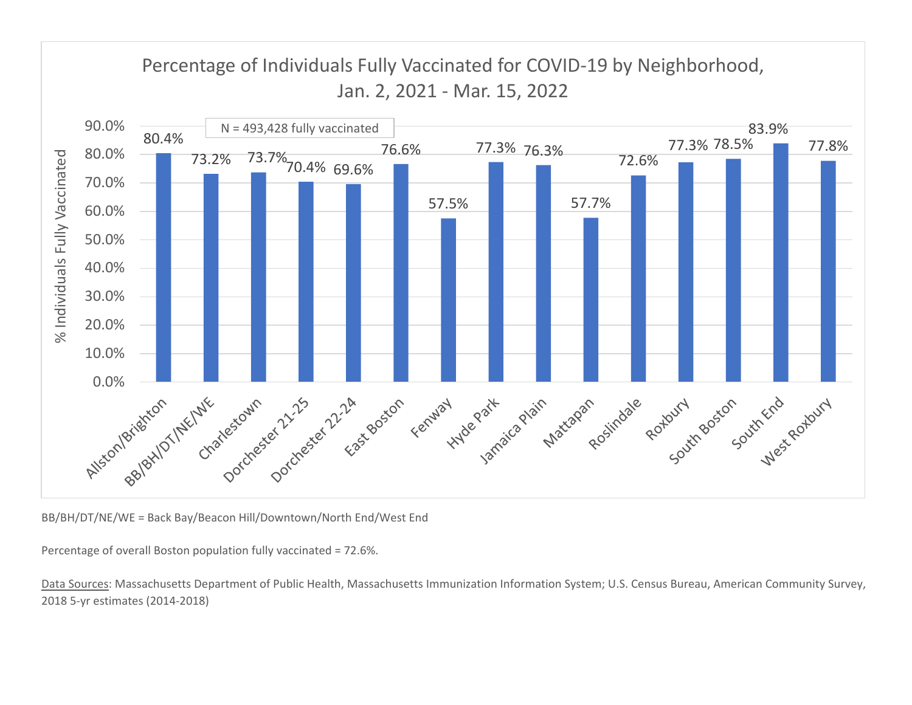![](_page_14_Figure_0.jpeg)

BB/BH/DT/NE/WE <sup>=</sup> Back Bay/Beacon Hill/Downtown/North End/West End

Percentage of overall Boston population fully vaccinated <sup>=</sup> 72.6%.